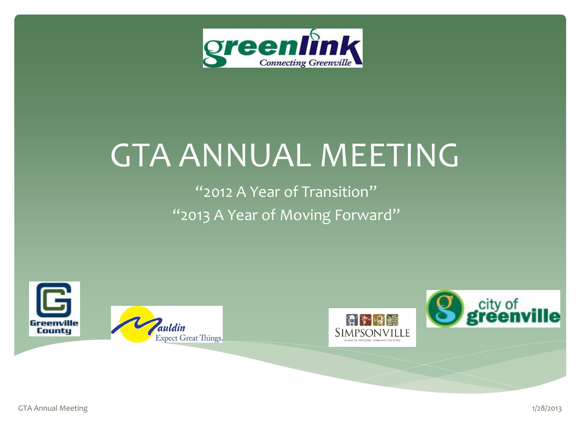

## GTA ANNUAL MEETING

"2012 A Year of Transition" "2013 A Year of Moving Forward"

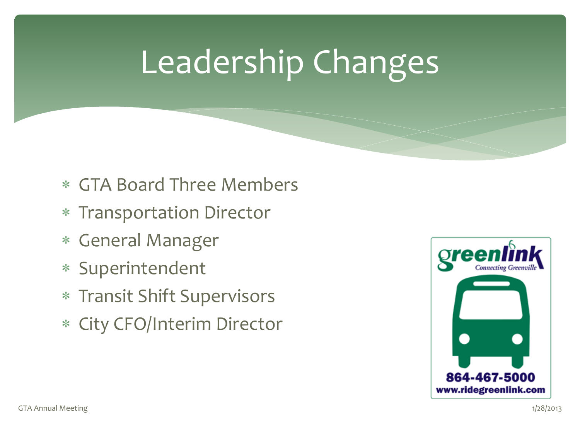# Leadership Changes

- GTA Board Three Members
- Transportation Director
- General Manager
- Superintendent
- Transit Shift Supervisors
- City CFO/Interim Director

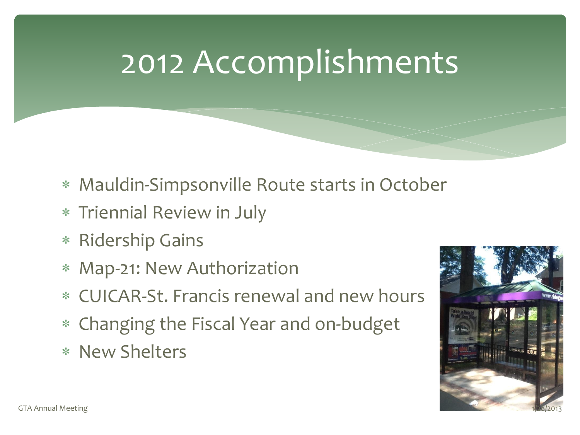#### 2012 Accomplishments

- Mauldin-Simpsonville Route starts in October
- Triennial Review in July
- Ridership Gains
- Map-21: New Authorization
- CUICAR-St. Francis renewal and new hours
- Changing the Fiscal Year and on-budget
- New Shelters

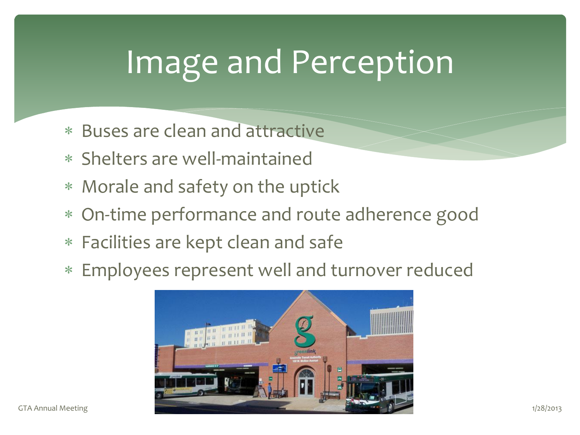# Image and Perception

- Buses are clean and attractive
- Shelters are well-maintained
- Morale and safety on the uptick
- On-time performance and route adherence good
- Facilities are kept clean and safe
- Employees represent well and turnover reduced

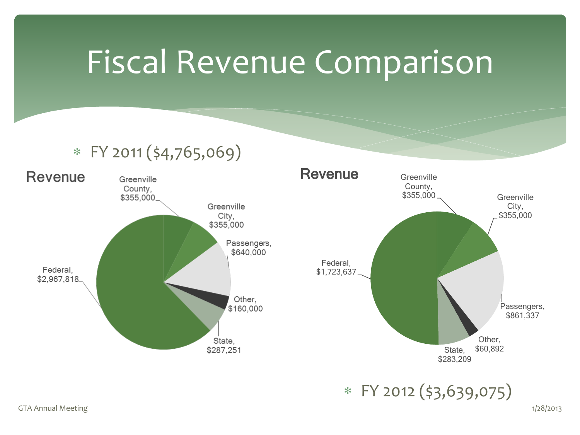#### Fiscal Revenue Comparison

#### $*$  FY 2011 (\$4,765,069)





FY 2012 (\$3,639,075)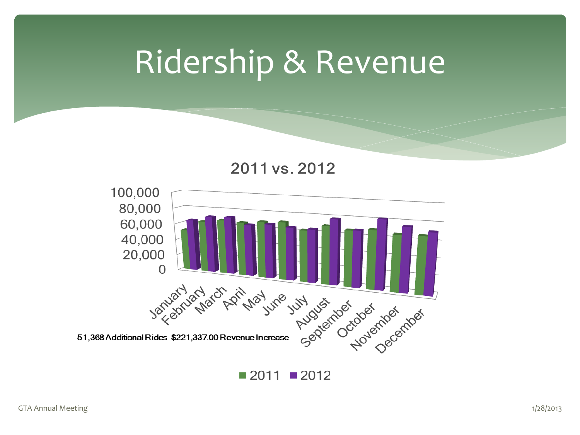#### Ridership & Revenue

2011 vs. 2012



 $\blacksquare$  2011  $\blacksquare$  2012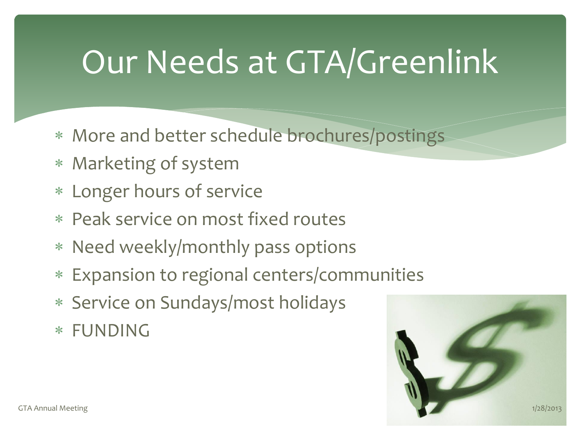# Our Needs at GTA/Greenlink

- More and better schedule brochures/postings
- Marketing of system
- Longer hours of service
- Peak service on most fixed routes
- Need weekly/monthly pass options
- Expansion to regional centers/communities
- Service on Sundays/most holidays
- FUNDING

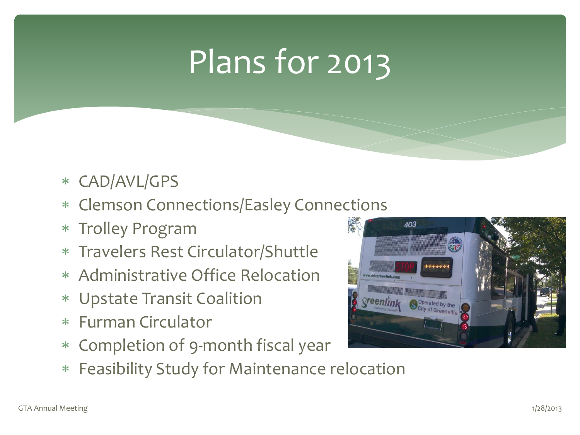# Plans for 2013

- CAD/AVL/GPS
- Clemson Connections/Easley Connections
- Trolley Program
- Travelers Rest Circulator/Shuttle
- Administrative Office Relocation
- Upstate Transit Coalition
- Furman Circulator
- Completion of 9-month fiscal year
- Feasibility Study for Maintenance relocation

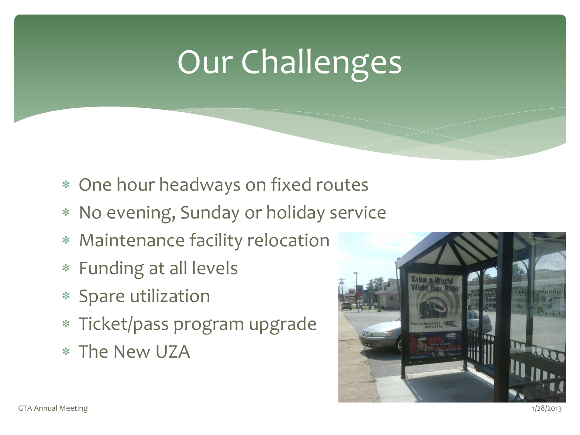# Our Challenges

- One hour headways on fixed routes
- No evening, Sunday or holiday service
- Maintenance facility relocation
- Funding at all levels
- Spare utilization
- Ticket/pass program upgrade
- The New UZA

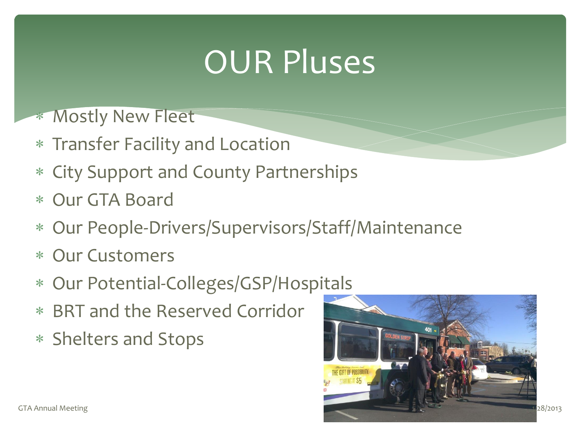# OUR Pluses

- \* Mostly New Fleet
- Transfer Facility and Location
- City Support and County Partnerships
- Our GTA Board
- Our People-Drivers/Supervisors/Staff/Maintenance
- Our Customers
- Our Potential-Colleges/GSP/Hospitals
- BRT and the Reserved Corridor
- Shelters and Stops

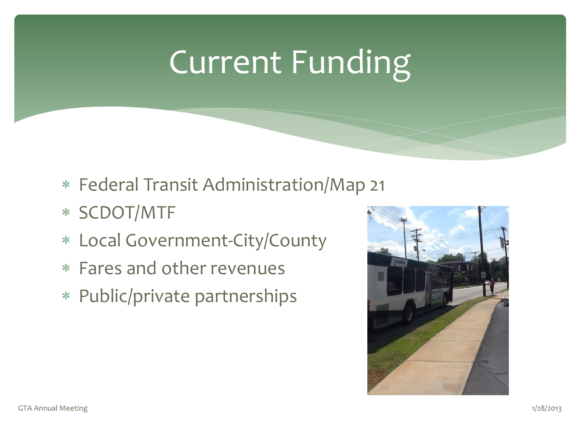# Current Funding

- Federal Transit Administration/Map 21
- SCDOT/MTF
- Local Government-City/County
- Fares and other revenues
- Public/private partnerships

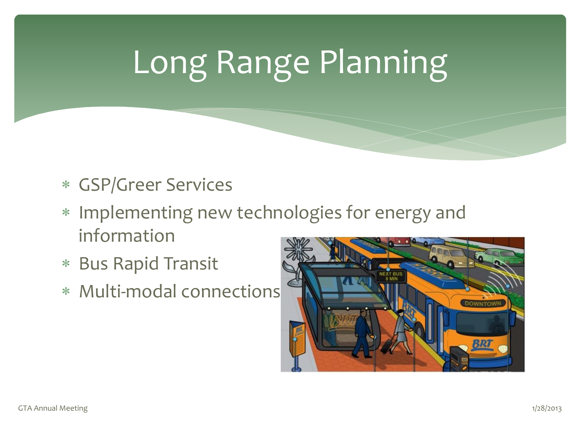# Long Range Planning

- GSP/Greer Services
- Implementing new technologies for energy and information
- Bus Rapid Transit
- Multi-modal connections

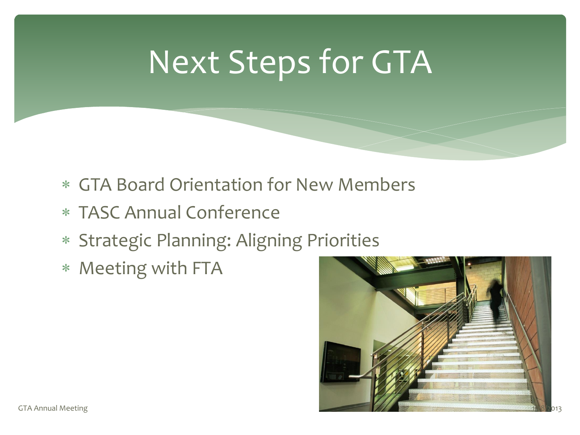# Next Steps for GTA

- GTA Board Orientation for New Members
- TASC Annual Conference
- Strategic Planning: Aligning Priorities
- Meeting with FTA